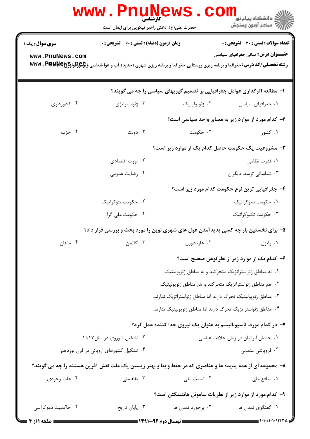|                        | <b>WWW . P</b> I<br>حضرت علی(ع): دانش راهبر نیکویی برای ایمان است | <b>کارشناسی</b>                                                                                           | ڪ دانشڪاه پيام نور<br>ا∛ مرڪز آزمون وسنڊش                                                                                                                                                      |  |
|------------------------|-------------------------------------------------------------------|-----------------------------------------------------------------------------------------------------------|------------------------------------------------------------------------------------------------------------------------------------------------------------------------------------------------|--|
| <b>سری سوال :</b> یک ۱ | <b>زمان آزمون (دقیقه) : تستی : 60 ٪ تشریحی : 0</b>                |                                                                                                           | تعداد سوالات : تستي : 30 ٪ تشريحي : 0                                                                                                                                                          |  |
| www.PnuNews.com        |                                                                   |                                                                                                           | <b>عنـــوان درس:</b> مبانی جغرافیای سیاسی<br><b>رشته تحصیلی/کد درس:</b> جغرافیا و برنامه ریزی روستایی،جغرافیا و برنامه ریزی شهری (جدید)،آب و هوا شناسی،ژ <b>تإهِ(لودکیالاله www . Ppp pk S</b> |  |
|                        |                                                                   | ا- مطالعه اثرگذاری عوامل جغرافیایی بر تصمیم گیریهای سیاسی را چه می گویند؟                                 |                                                                                                                                                                                                |  |
| ۰۴ کشورداری            | ۰۳ ژئواستراتژی                                                    | ۰۲ ژئوپولیتیک                                                                                             | ۰۱ جغرافیای سیاسی                                                                                                                                                                              |  |
|                        |                                                                   |                                                                                                           | ۲- کدام مورد از موارد زیر به معنای واحد سیاسی است؟                                                                                                                                             |  |
| ۰۴ حزب                 | ۰۳ دولت                                                           | ۰۲ حکومت                                                                                                  | ۰۱ کشور                                                                                                                                                                                        |  |
|                        |                                                                   |                                                                                                           | ۳- مشروعیت یک حکومت حاصل کدام یک از موارد زیر است؟                                                                                                                                             |  |
|                        | ۰۲ ثروت اقتصادی                                                   |                                                                                                           | ۰۱ قدرت نظامی                                                                                                                                                                                  |  |
|                        | ۰۴ رضایت عمومی                                                    |                                                                                                           | ۰۳ شناسائی توسط دیگران                                                                                                                                                                         |  |
|                        |                                                                   |                                                                                                           | ۴– جغرافیایی ترین نوع حکومت کدام مورد زیر است؟                                                                                                                                                 |  |
|                        | ۰۲ حکومت تئوکراتیک                                                |                                                                                                           | ۰۱ حکومت دموکراتیک                                                                                                                                                                             |  |
|                        | ۰۴ حکومت ملی گرا                                                  |                                                                                                           | ۰۳ حکومت تکنوکراتیک                                                                                                                                                                            |  |
|                        |                                                                   | ۵- برای نخستین بار چه کسی پدیدآمدن غول های شهری نوین را مورد بحث و بررسی قرار داد؟                        |                                                                                                                                                                                                |  |
| ۰۴ ماهان               | ۰۳ گاتمن                                                          | ۰۲ هارتشورن                                                                                               | ۰۱ راتزل                                                                                                                                                                                       |  |
|                        |                                                                   |                                                                                                           | ۶– کدام یک از موارد زیر از نظرکوهن صحیح است؟                                                                                                                                                   |  |
|                        |                                                                   |                                                                                                           | ٠١ نه مناطق ژئواستراتژیک متحرکند و نه مناطق ژئوپولیتیک.                                                                                                                                        |  |
|                        | ۰۲ هم مناطق ژئواستراتژیک متحرکند و هم مناطق ژئوپولیتیک.           |                                                                                                           |                                                                                                                                                                                                |  |
|                        |                                                                   | ۰۳ مناطق ژئوپولیتیک تحرک دارند اما مناطق ژئواستراتژیک ندارند.                                             |                                                                                                                                                                                                |  |
|                        |                                                                   | ۰۴ مناطق ژئواستراتژیک تحرک دارند اما مناطق ژئوپولیتیک ندارند.                                             |                                                                                                                                                                                                |  |
|                        |                                                                   | ۷– در کدام مورد، ناسیونالیسم به عنوان یک نیروی جدا کننده عمل کرد؟                                         |                                                                                                                                                                                                |  |
|                        | ۰۲ تشکیل شوروی در سال۱۹۱۷                                         |                                                                                                           | ٠١ جنبش ايرانيان در زمان خلافت عباسي                                                                                                                                                           |  |
|                        | ۰۴ تشکیل کشورهای اروپائی در قرن نوزدهم                            |                                                                                                           | ۰۳ فروپاشی عثمانی                                                                                                                                                                              |  |
|                        |                                                                   | ۸– مجموعه ای از همه پدیده ها و عناصری که در حفظ و بقا و بهتر زیستن یک ملت نقش آفرین هستند را چه می گویند؟ |                                                                                                                                                                                                |  |
| ۰۴ علت وجودي           | ۰۳ بقاء ملی                                                       | ۰۲ امنیت ملی                                                                                              | ٠١ منافع ملي                                                                                                                                                                                   |  |
|                        |                                                                   |                                                                                                           | ۹– کدام مورد از موارد زیر از نظریات ساموئل هانتینگتن است؟                                                                                                                                      |  |
| ۰۴ حاکمیت دموکراسی     | ۰۳ پایان تاریخ                                                    | ۰۲ برخورد تمدن ها                                                                                         | ٠١. گفتگوي تمدن ها                                                                                                                                                                             |  |
| <b>= صفحه 11; 4</b>    |                                                                   | <b>ـــــــــــ ن</b> یمسال دوم 92-1311 <b>ــــــــ</b>                                                    | = ۱۰۱۰/۱۰۱۰۱۱۴۳۵                                                                                                                                                                               |  |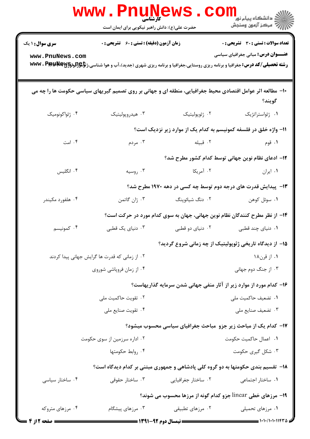|                                                                                                                      | <b>www.PnuN</b><br>کارشناسی<br>حضرت علی(ع): دانش راهبر نیکویی برای ایمان است | ews                    | ر دانشگاه پيام نور ■<br>// مرکز آزمون وسنجش                                                                                                                                                                                             |  |  |
|----------------------------------------------------------------------------------------------------------------------|------------------------------------------------------------------------------|------------------------|-----------------------------------------------------------------------------------------------------------------------------------------------------------------------------------------------------------------------------------------|--|--|
| <b>سری سوال : ۱ یک</b><br>www.PnuNews.com                                                                            | <b>زمان آزمون (دقیقه) : تستی : 60 ٪ تشریحی : 0</b>                           |                        | <b>تعداد سوالات : تستي : 30 ٪ تشريحي : 0</b><br><b>عنــــوان درس:</b> مبانی جغرافیای سیاسی<br><b>رشته تحصیلی/کد درس:</b> جغرافیا و برنامه ریزی روستایی،جغرافیا و برنامه ریزی شهری (جدید)،آب و هوا شناسی،ژ <b>تإچ[تلونگ[Wwv . P)p به</b> |  |  |
| ۱۰- مطالعه اثر عوامل اقتصادی محیط جغرافیایی، منطقه ای و جهانی بر روی تصمیم گیریهای سیاسی حکومت ها را چه می<br>گويند؟ |                                                                              |                        |                                                                                                                                                                                                                                         |  |  |
| ۰۴ ژئواکونومیک                                                                                                       | ۰۳ هیدروپولیتیک                                                              | ٢. ژئوپولیتیک          | ٠١ ژئواستراتژيک                                                                                                                                                                                                                         |  |  |
|                                                                                                                      |                                                                              |                        | 1۱- واژه خلق در فلسفه کمونیسم به کدام یک از موارد زیر نزدیک است؟                                                                                                                                                                        |  |  |
| ۰۴ امت                                                                                                               | ۰۳ مردم                                                                      | ۰۲ قبیله               | ۰۱ قوم                                                                                                                                                                                                                                  |  |  |
|                                                                                                                      |                                                                              |                        | ۱۲– ادعای نظام نوین جهانی توسط کدام کشور مطرح شد؟                                                                                                                                                                                       |  |  |
| ۰۴ انگلیس                                                                                                            | ۰۳ روسیه                                                                     | ۰۲ آمریکا              | ۰۱ ایران                                                                                                                                                                                                                                |  |  |
|                                                                                                                      |                                                                              |                        | ۱۳- پیدایش قدرت های درجه دوم توسط چه کسی در دهه ۱۹۷۰ مطرح شد؟                                                                                                                                                                           |  |  |
| ۰۴ هلفورد مکیندر                                                                                                     | ۰۳ ژان گاتمن                                                                 | ۲. دنگ شیائوپنگ        | ٠١ سوئل كوهن                                                                                                                                                                                                                            |  |  |
|                                                                                                                      | ۱۴– از نظر مطرح کنندگان نظام نوین جهانی، جهان به سوی کدام مورد در حرکت است؟  |                        |                                                                                                                                                                                                                                         |  |  |
| ۰۴ کمونیسم                                                                                                           | ۰۳ دنیای یک قطبی                                                             | ۰۲ دنیای دو قطبی       | ۰۱ دنیای چند قطبی                                                                                                                                                                                                                       |  |  |
|                                                                                                                      |                                                                              |                        | ۱۵– از دیدگاه تاریخی ژئوپولیتیک از چه زمانی شروع گردید؟                                                                                                                                                                                 |  |  |
|                                                                                                                      | ۰۲ از زمانی که قدرت ها گرایش جهانی پیدا کردند                                | ۰۱ از قرن۱۸            |                                                                                                                                                                                                                                         |  |  |
|                                                                                                                      | ۰۴ از زمان فروپاشی شوروی                                                     | ۰۳ از جنگ دوم جهانی    |                                                                                                                                                                                                                                         |  |  |
|                                                                                                                      |                                                                              |                        | ۱۶– کدام مورد از موارد زیر از آثار منفی جهانی شدن سرمایه گذاریهاست؟                                                                                                                                                                     |  |  |
| ۰۲ تقویت حاکمیت ملی                                                                                                  |                                                                              | ۰۱ تضعیف حاکمیت ملی    |                                                                                                                                                                                                                                         |  |  |
|                                                                                                                      | ۰۴ تقويت صنايع ملي                                                           |                        | ۰۳ تضعیف صنایع ملی                                                                                                                                                                                                                      |  |  |
|                                                                                                                      |                                                                              |                        | ۱۷- کدام یک از مباحث زیر جزو ًمباحث جغرافیای سیاسی محسوب میشود؟                                                                                                                                                                         |  |  |
| ۰۲ اداره سرزمین از سوی حکومت                                                                                         |                                                                              | ٠١. اعمال حاكميت حكومت |                                                                                                                                                                                                                                         |  |  |
|                                                                                                                      | ۰۴ روابط حکومتها                                                             |                        | ۰۳ شکل گیری حکومت                                                                                                                                                                                                                       |  |  |
|                                                                                                                      |                                                                              |                        | ۱۸- تقسیم بندی حکومتها به دو گروه کلی پادشاهی و جمهوری مبتنی بر کدام دیدگاه است؟                                                                                                                                                        |  |  |
| ۰۴ ساختار سیاسی                                                                                                      | ۰۳ ساختار حقوقی                                                              | ۰۲ ساختار جغرافیایی    | ۰۱ ساختار اجتماعی                                                                                                                                                                                                                       |  |  |
| ۱۹- مرزهای خطی linear جزو کدام گونه از مرزها محسوب می شوند؟                                                          |                                                                              |                        |                                                                                                                                                                                                                                         |  |  |
| ۰۴ مرزهای متروکه                                                                                                     | ۰۳ مرزهای پیشگام                                                             | ۰۲ مرزهای تطبیقی       | ۰۱ مرزهای تحمیلی                                                                                                                                                                                                                        |  |  |
| ا صفحه 12ز 4                                                                                                         | <b>= نیمسال دوم 92-1391 <del>=====</del></b>                                 |                        | = ۱۰۱۰/۱۰۱۰۱۱۴۳۵ =                                                                                                                                                                                                                      |  |  |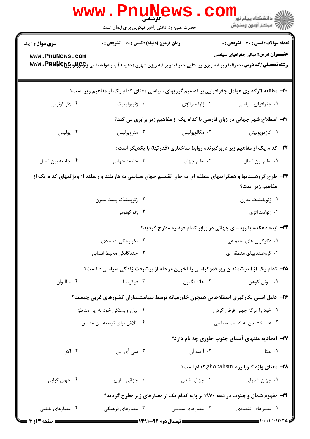|                                           | WWW.FIIUN<br>حضرت علی(ع): دانش راهبر نیکویی برای ایمان است                                                                                                                                       |                                                                                    | ڪ دانشڪاه پيام نور ■<br>۾ مرکز آزمون وسنڊش                                                 |  |
|-------------------------------------------|--------------------------------------------------------------------------------------------------------------------------------------------------------------------------------------------------|------------------------------------------------------------------------------------|--------------------------------------------------------------------------------------------|--|
| <b>سری سوال :</b> ۱ یک<br>www.PnuNews.com | <b>زمان آزمون (دقیقه) : تستی : 60 ٪ تشریحی : 0</b><br><b>رشته تحصیلی/کد درس:</b> جغرافیا و برنامه ریزی روستایی،جغرافیا و برنامه ریزی شهری (جدید)،آب و هوا شناسی،ژ <b>تإچ[تلونگاچاWwv ، P) به</b> |                                                                                    | <b>تعداد سوالات : تستی : 30 ٪ تشریحی : 0</b><br><b>عنــــوان درس:</b> مبانی جغرافیای سیاسی |  |
|                                           | +۲- مطالعه اثرگذاری عوامل جغرافیایی بر تصمیم گیریهای سیاسی معنای کدام یک از مفاهیم زیر است؟                                                                                                      |                                                                                    |                                                                                            |  |
| ۰۴ ژئواکونومی                             | ۰۳ ژئوپولیتیک                                                                                                                                                                                    | ۰۲ ژئواستراتژی                                                                     | ٠١ جغرافياي سياسي                                                                          |  |
|                                           |                                                                                                                                                                                                  | <b>۲۱</b> – اصطلاح شهر جهانی در زبان فارسی با کدام یک از مفاهیم زیر برابری می کند؟ |                                                                                            |  |
| ۰۴ پولیس                                  | ۰۳ متروپولیس                                                                                                                                                                                     | ۰۲ مگالوپوليس                                                                      | ۰۱ کازموپولیتن                                                                             |  |
|                                           |                                                                                                                                                                                                  | <b>۲۲</b> - کدام یک از مفاهیم زیر دربرگیرنده روابط ساختاری (قدرتها) با یکدیگر است؟ |                                                                                            |  |
| ۰۴ جامعه بين الملل                        | ۰۳ جامعه جهانی                                                                                                                                                                                   | ۰۲ نظام جهانی                                                                      | ٠١. نظام بين الملل                                                                         |  |
|                                           | ۲۳- طرح گروهبندیها و همگراییهای منطقه ای به جای تقسیم جهان سیاسی به هارتلند و ریملند از ویژگیهای کدام یک از                                                                                      |                                                                                    | مفاهیم زیر است؟                                                                            |  |
|                                           | ۲. ژئوپلیتیک پست مدرن                                                                                                                                                                            | ۰۱ ژئوپلیتیک مدرن                                                                  |                                                                                            |  |
|                                           | ۰۴ ژئواکونومی                                                                                                                                                                                    |                                                                                    | ۰۳ ژئواستراتژی                                                                             |  |
|                                           |                                                                                                                                                                                                  | ۲۴- ایده دهکده یا روستای جهانی در برابر کدام فرضیه مطرح گردید؟                     |                                                                                            |  |
|                                           | ۰۲ یکپارچگی اقتصادی                                                                                                                                                                              |                                                                                    | ۰۱ دگرگونی های اجتماعی                                                                     |  |
|                                           | ۰۴ چندگانگی محیط انسانی                                                                                                                                                                          | ۰۳ گروهبندیهای منطقه ای                                                            |                                                                                            |  |
|                                           | ۲۵– کدام یک از اندیشمندان زیر دموکراسی را آخرین مرحله از پیشرفت زندگی سیاسی دانست؟                                                                                                               |                                                                                    |                                                                                            |  |
| ۰۴ ساليوان                                | ۰۳ فوکویاما                                                                                                                                                                                      | ۰۲ هانتینگتون                                                                      | ٠١ سوئل كوهن                                                                               |  |
|                                           | ۲۶– دلیل اصلی بکارگیری اصطلاحاتی همچون خاورمیانه توسط سیاستمداران کشورهای غربی چیست؟                                                                                                             |                                                                                    |                                                                                            |  |
| ۰۲ بیان وابستگی خود به این مناطق          |                                                                                                                                                                                                  | ٠١ خود را مركز جهان فرض كردن                                                       |                                                                                            |  |
| ۰۴ تلاش برای توسعه این مناطق              |                                                                                                                                                                                                  | ۰۳ غنا بخشیدن به ادبیات سیاسی                                                      |                                                                                            |  |
|                                           |                                                                                                                                                                                                  |                                                                                    | ۲۷– اتحادیه ملتهای آسیای جنوب خاوری چه نام دارد؟                                           |  |
| ۰۴ اکو                                    | ۰۳ سی أی اس                                                                                                                                                                                      | ۰۲ أ سه أن                                                                         | ۰۱ نفتا                                                                                    |  |
|                                           |                                                                                                                                                                                                  |                                                                                    | <b>۲۸</b> – معنای واژه گلوبالیزم ghobalism کدام است؟                                       |  |
| ۰۴ جهان گرايي                             | ۰۳ جهانی سازی                                                                                                                                                                                    | ۰۲ جهانی شدن                                                                       | ۰۱ جهان شمولی                                                                              |  |
|                                           |                                                                                                                                                                                                  | ۲۹- مفهوم شمال و جنوب در دهه ۱۹۷۰ بر پایه کدام یک از معیارهای زیر مطرح گردید؟      |                                                                                            |  |
| ۰۴ معیارهای نظامی                         | ۰۳ معیارهای فرهنگی                                                                                                                                                                               | ۰۲ معیارهای سیاسی                                                                  | ۰۱ معیارهای اقتصادی                                                                        |  |
| صفحه 3 از 4 ــ                            | <b>ـــــ نیمسال دوم ۹۲-۱۳۹۱ ــــــــــ</b>                                                                                                                                                       |                                                                                    | $\frac{1}{1}$ $\frac{1}{1}$ $\frac{1}{1}$                                                  |  |